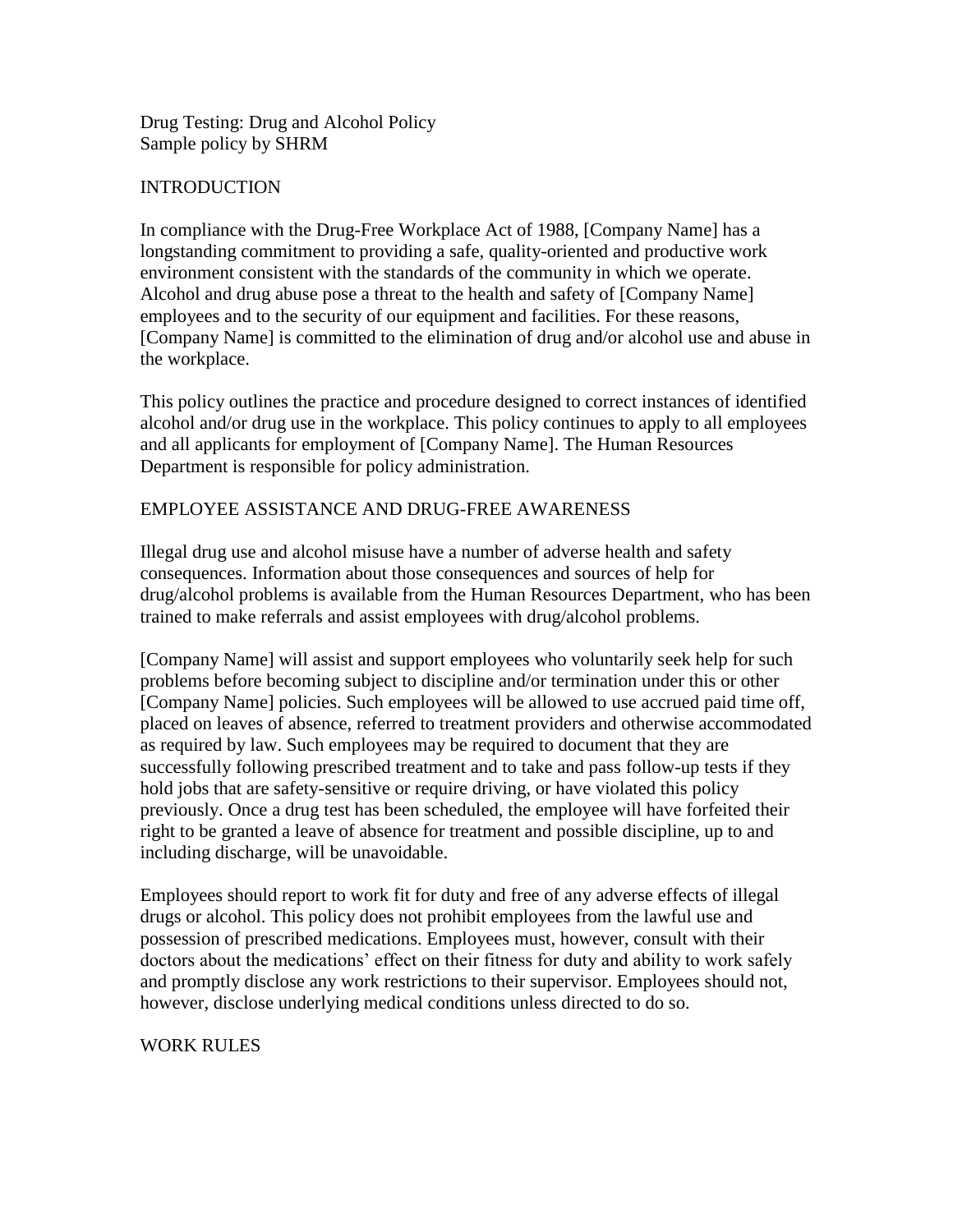Drug Testing: Drug and Alcohol Policy Sample policy by SHRM

### **INTRODUCTION**

In compliance with the Drug-Free Workplace Act of 1988, [Company Name] has a longstanding commitment to providing a safe, quality-oriented and productive work environment consistent with the standards of the community in which we operate. Alcohol and drug abuse pose a threat to the health and safety of [Company Name] employees and to the security of our equipment and facilities. For these reasons, [Company Name] is committed to the elimination of drug and/or alcohol use and abuse in the workplace.

This policy outlines the practice and procedure designed to correct instances of identified alcohol and/or drug use in the workplace. This policy continues to apply to all employees and all applicants for employment of [Company Name]. The Human Resources Department is responsible for policy administration.

### EMPLOYEE ASSISTANCE AND DRUG-FREE AWARENESS

Illegal drug use and alcohol misuse have a number of adverse health and safety consequences. Information about those consequences and sources of help for drug/alcohol problems is available from the Human Resources Department, who has been trained to make referrals and assist employees with drug/alcohol problems.

[Company Name] will assist and support employees who voluntarily seek help for such problems before becoming subject to discipline and/or termination under this or other [Company Name] policies. Such employees will be allowed to use accrued paid time off, placed on leaves of absence, referred to treatment providers and otherwise accommodated as required by law. Such employees may be required to document that they are successfully following prescribed treatment and to take and pass follow-up tests if they hold jobs that are safety-sensitive or require driving, or have violated this policy previously. Once a drug test has been scheduled, the employee will have forfeited their right to be granted a leave of absence for treatment and possible discipline, up to and including discharge, will be unavoidable.

Employees should report to work fit for duty and free of any adverse effects of illegal drugs or alcohol. This policy does not prohibit employees from the lawful use and possession of prescribed medications. Employees must, however, consult with their doctors about the medications' effect on their fitness for duty and ability to work safely and promptly disclose any work restrictions to their supervisor. Employees should not, however, disclose underlying medical conditions unless directed to do so.

#### WORK RULES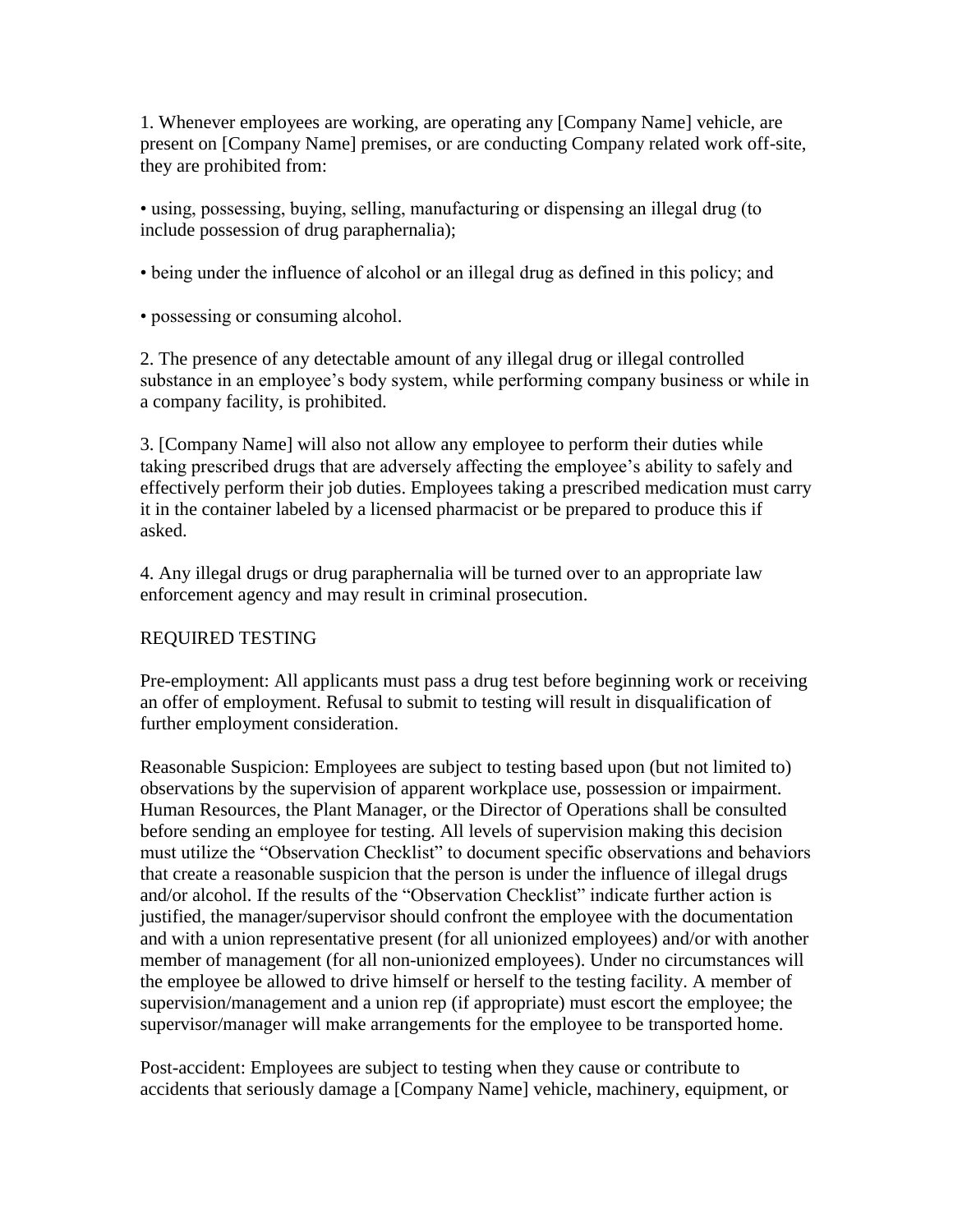1. Whenever employees are working, are operating any [Company Name] vehicle, are present on [Company Name] premises, or are conducting Company related work off-site, they are prohibited from:

• using, possessing, buying, selling, manufacturing or dispensing an illegal drug (to include possession of drug paraphernalia);

• being under the influence of alcohol or an illegal drug as defined in this policy; and

• possessing or consuming alcohol.

2. The presence of any detectable amount of any illegal drug or illegal controlled substance in an employee's body system, while performing company business or while in a company facility, is prohibited.

3. [Company Name] will also not allow any employee to perform their duties while taking prescribed drugs that are adversely affecting the employee's ability to safely and effectively perform their job duties. Employees taking a prescribed medication must carry it in the container labeled by a licensed pharmacist or be prepared to produce this if asked.

4. Any illegal drugs or drug paraphernalia will be turned over to an appropriate law enforcement agency and may result in criminal prosecution.

# REQUIRED TESTING

Pre-employment: All applicants must pass a drug test before beginning work or receiving an offer of employment. Refusal to submit to testing will result in disqualification of further employment consideration.

Reasonable Suspicion: Employees are subject to testing based upon (but not limited to) observations by the supervision of apparent workplace use, possession or impairment. Human Resources, the Plant Manager, or the Director of Operations shall be consulted before sending an employee for testing. All levels of supervision making this decision must utilize the "Observation Checklist" to document specific observations and behaviors that create a reasonable suspicion that the person is under the influence of illegal drugs and/or alcohol. If the results of the "Observation Checklist" indicate further action is justified, the manager/supervisor should confront the employee with the documentation and with a union representative present (for all unionized employees) and/or with another member of management (for all non-unionized employees). Under no circumstances will the employee be allowed to drive himself or herself to the testing facility. A member of supervision/management and a union rep (if appropriate) must escort the employee; the supervisor/manager will make arrangements for the employee to be transported home.

Post-accident: Employees are subject to testing when they cause or contribute to accidents that seriously damage a [Company Name] vehicle, machinery, equipment, or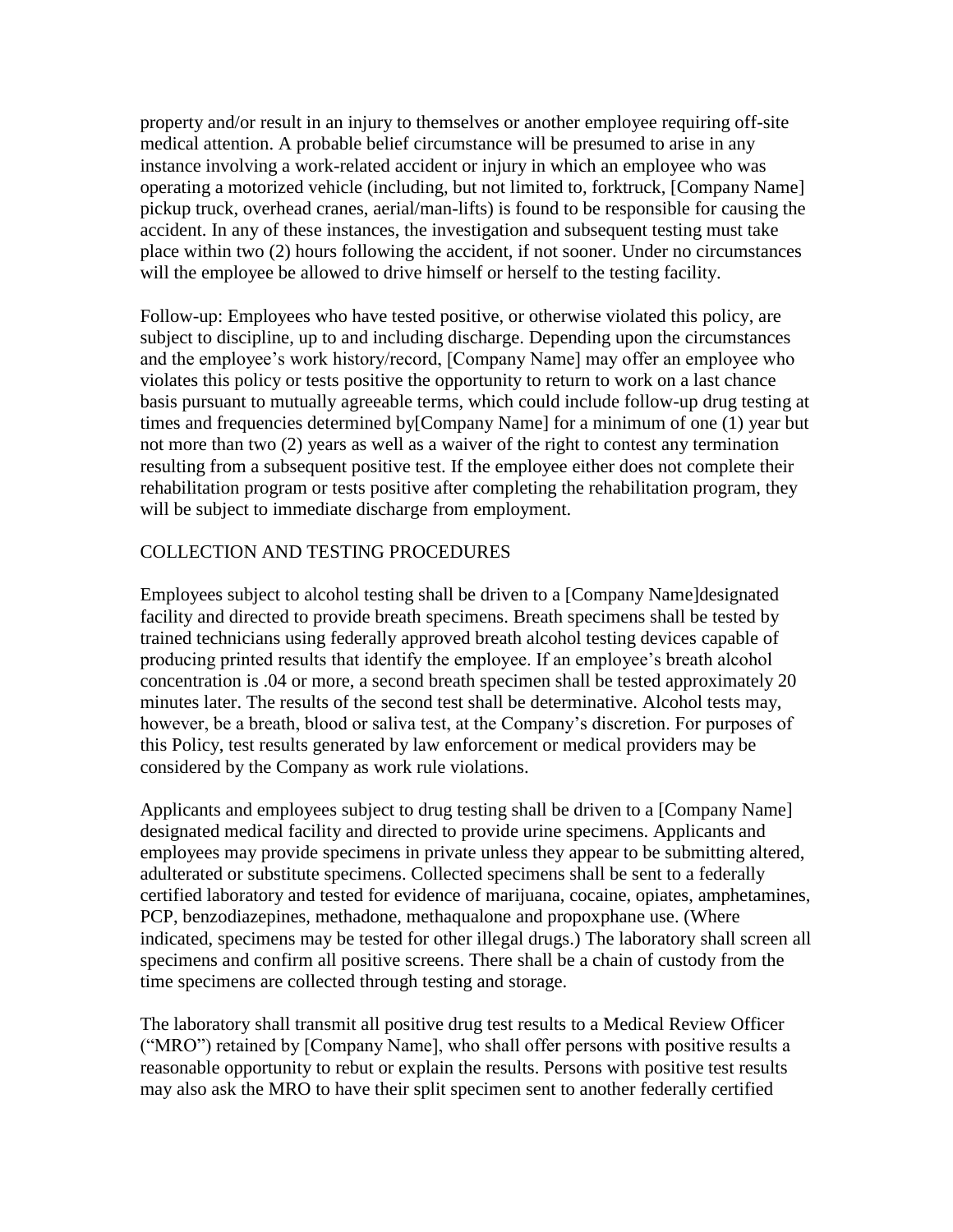property and/or result in an injury to themselves or another employee requiring off-site medical attention. A probable belief circumstance will be presumed to arise in any instance involving a work-related accident or injury in which an employee who was operating a motorized vehicle (including, but not limited to, forktruck, [Company Name] pickup truck, overhead cranes, aerial/man-lifts) is found to be responsible for causing the accident. In any of these instances, the investigation and subsequent testing must take place within two (2) hours following the accident, if not sooner. Under no circumstances will the employee be allowed to drive himself or herself to the testing facility.

Follow-up: Employees who have tested positive, or otherwise violated this policy, are subject to discipline, up to and including discharge. Depending upon the circumstances and the employee's work history/record, [Company Name] may offer an employee who violates this policy or tests positive the opportunity to return to work on a last chance basis pursuant to mutually agreeable terms, which could include follow-up drug testing at times and frequencies determined by[Company Name] for a minimum of one (1) year but not more than two (2) years as well as a waiver of the right to contest any termination resulting from a subsequent positive test. If the employee either does not complete their rehabilitation program or tests positive after completing the rehabilitation program, they will be subject to immediate discharge from employment.

# COLLECTION AND TESTING PROCEDURES

Employees subject to alcohol testing shall be driven to a [Company Name]designated facility and directed to provide breath specimens. Breath specimens shall be tested by trained technicians using federally approved breath alcohol testing devices capable of producing printed results that identify the employee. If an employee's breath alcohol concentration is .04 or more, a second breath specimen shall be tested approximately 20 minutes later. The results of the second test shall be determinative. Alcohol tests may, however, be a breath, blood or saliva test, at the Company's discretion. For purposes of this Policy, test results generated by law enforcement or medical providers may be considered by the Company as work rule violations.

Applicants and employees subject to drug testing shall be driven to a [Company Name] designated medical facility and directed to provide urine specimens. Applicants and employees may provide specimens in private unless they appear to be submitting altered, adulterated or substitute specimens. Collected specimens shall be sent to a federally certified laboratory and tested for evidence of marijuana, cocaine, opiates, amphetamines, PCP, benzodiazepines, methadone, methaqualone and propoxphane use. (Where indicated, specimens may be tested for other illegal drugs.) The laboratory shall screen all specimens and confirm all positive screens. There shall be a chain of custody from the time specimens are collected through testing and storage.

The laboratory shall transmit all positive drug test results to a Medical Review Officer ("MRO") retained by [Company Name], who shall offer persons with positive results a reasonable opportunity to rebut or explain the results. Persons with positive test results may also ask the MRO to have their split specimen sent to another federally certified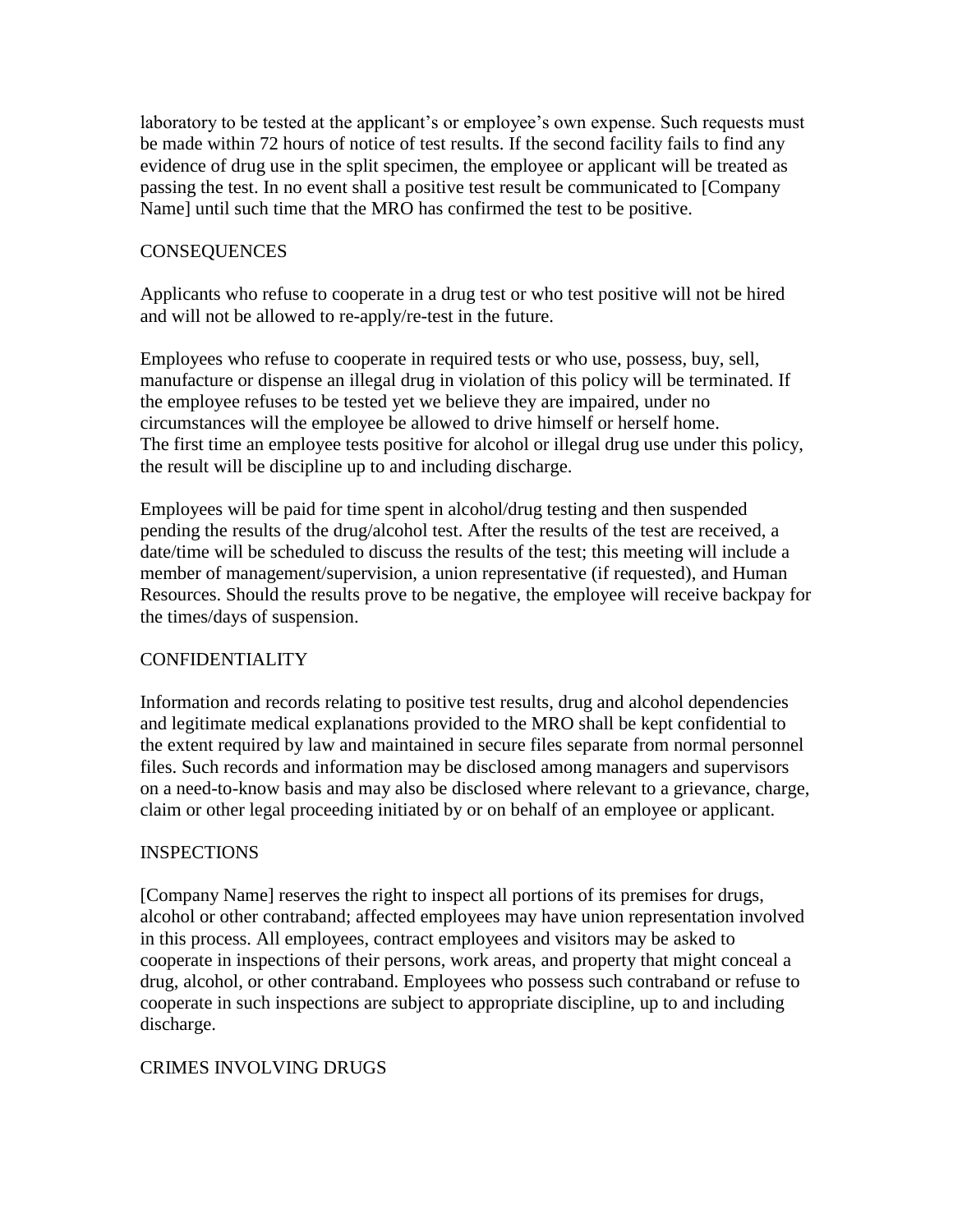laboratory to be tested at the applicant's or employee's own expense. Such requests must be made within 72 hours of notice of test results. If the second facility fails to find any evidence of drug use in the split specimen, the employee or applicant will be treated as passing the test. In no event shall a positive test result be communicated to [Company Name] until such time that the MRO has confirmed the test to be positive.

### **CONSEQUENCES**

Applicants who refuse to cooperate in a drug test or who test positive will not be hired and will not be allowed to re-apply/re-test in the future.

Employees who refuse to cooperate in required tests or who use, possess, buy, sell, manufacture or dispense an illegal drug in violation of this policy will be terminated. If the employee refuses to be tested yet we believe they are impaired, under no circumstances will the employee be allowed to drive himself or herself home. The first time an employee tests positive for alcohol or illegal drug use under this policy, the result will be discipline up to and including discharge.

Employees will be paid for time spent in alcohol/drug testing and then suspended pending the results of the drug/alcohol test. After the results of the test are received, a date/time will be scheduled to discuss the results of the test; this meeting will include a member of management/supervision, a union representative (if requested), and Human Resources. Should the results prove to be negative, the employee will receive backpay for the times/days of suspension.

# **CONFIDENTIALITY**

Information and records relating to positive test results, drug and alcohol dependencies and legitimate medical explanations provided to the MRO shall be kept confidential to the extent required by law and maintained in secure files separate from normal personnel files. Such records and information may be disclosed among managers and supervisors on a need-to-know basis and may also be disclosed where relevant to a grievance, charge, claim or other legal proceeding initiated by or on behalf of an employee or applicant.

#### INSPECTIONS

[Company Name] reserves the right to inspect all portions of its premises for drugs, alcohol or other contraband; affected employees may have union representation involved in this process. All employees, contract employees and visitors may be asked to cooperate in inspections of their persons, work areas, and property that might conceal a drug, alcohol, or other contraband. Employees who possess such contraband or refuse to cooperate in such inspections are subject to appropriate discipline, up to and including discharge.

# CRIMES INVOLVING DRUGS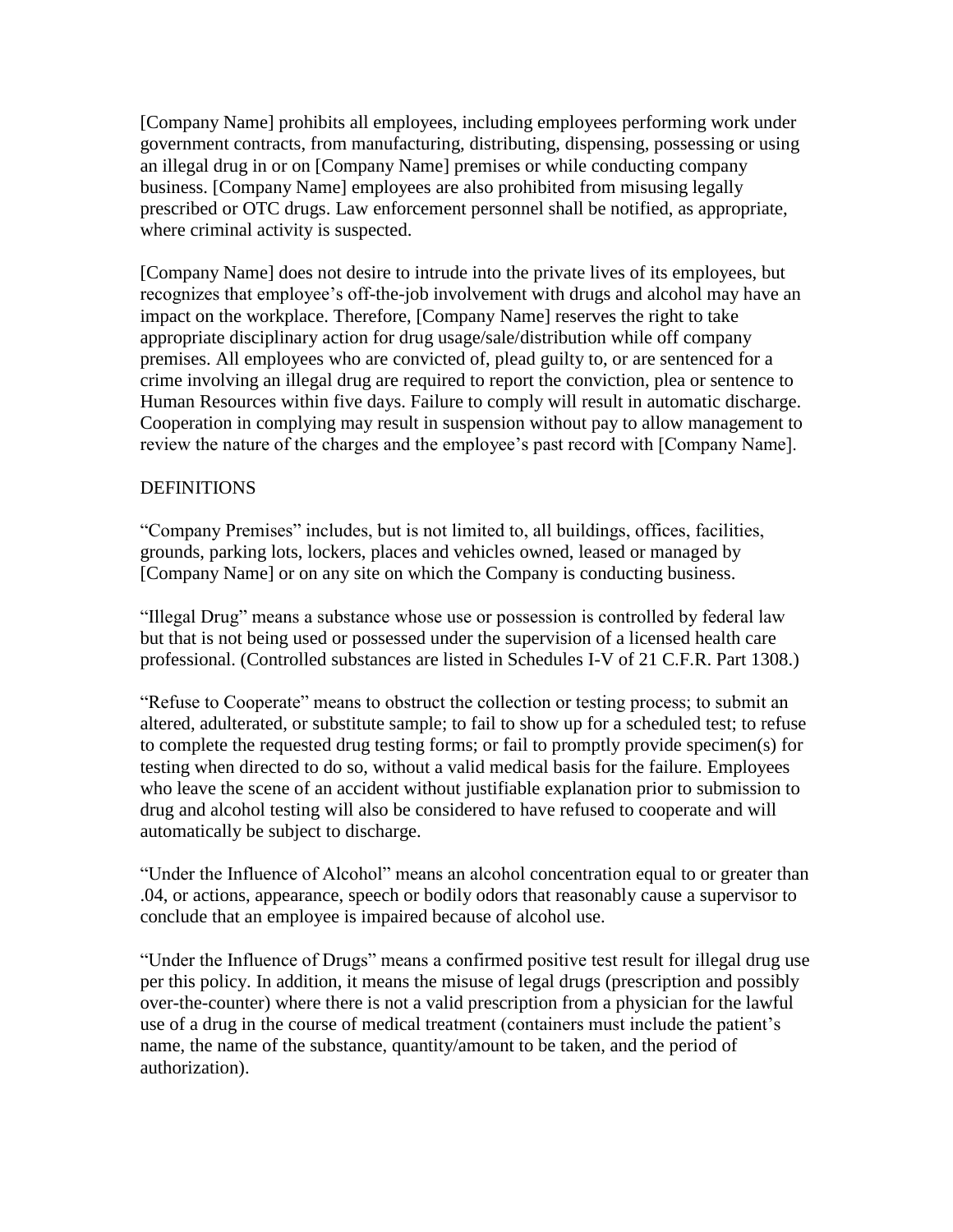[Company Name] prohibits all employees, including employees performing work under government contracts, from manufacturing, distributing, dispensing, possessing or using an illegal drug in or on [Company Name] premises or while conducting company business. [Company Name] employees are also prohibited from misusing legally prescribed or OTC drugs. Law enforcement personnel shall be notified, as appropriate, where criminal activity is suspected.

[Company Name] does not desire to intrude into the private lives of its employees, but recognizes that employee's off-the-job involvement with drugs and alcohol may have an impact on the workplace. Therefore, [Company Name] reserves the right to take appropriate disciplinary action for drug usage/sale/distribution while off company premises. All employees who are convicted of, plead guilty to, or are sentenced for a crime involving an illegal drug are required to report the conviction, plea or sentence to Human Resources within five days. Failure to comply will result in automatic discharge. Cooperation in complying may result in suspension without pay to allow management to review the nature of the charges and the employee's past record with [Company Name].

### DEFINITIONS

"Company Premises" includes, but is not limited to, all buildings, offices, facilities, grounds, parking lots, lockers, places and vehicles owned, leased or managed by [Company Name] or on any site on which the Company is conducting business.

"Illegal Drug" means a substance whose use or possession is controlled by federal law but that is not being used or possessed under the supervision of a licensed health care professional. (Controlled substances are listed in Schedules I-V of 21 C.F.R. Part 1308.)

"Refuse to Cooperate" means to obstruct the collection or testing process; to submit an altered, adulterated, or substitute sample; to fail to show up for a scheduled test; to refuse to complete the requested drug testing forms; or fail to promptly provide specimen(s) for testing when directed to do so, without a valid medical basis for the failure. Employees who leave the scene of an accident without justifiable explanation prior to submission to drug and alcohol testing will also be considered to have refused to cooperate and will automatically be subject to discharge.

"Under the Influence of Alcohol" means an alcohol concentration equal to or greater than .04, or actions, appearance, speech or bodily odors that reasonably cause a supervisor to conclude that an employee is impaired because of alcohol use.

"Under the Influence of Drugs" means a confirmed positive test result for illegal drug use per this policy. In addition, it means the misuse of legal drugs (prescription and possibly over-the-counter) where there is not a valid prescription from a physician for the lawful use of a drug in the course of medical treatment (containers must include the patient's name, the name of the substance, quantity/amount to be taken, and the period of authorization).